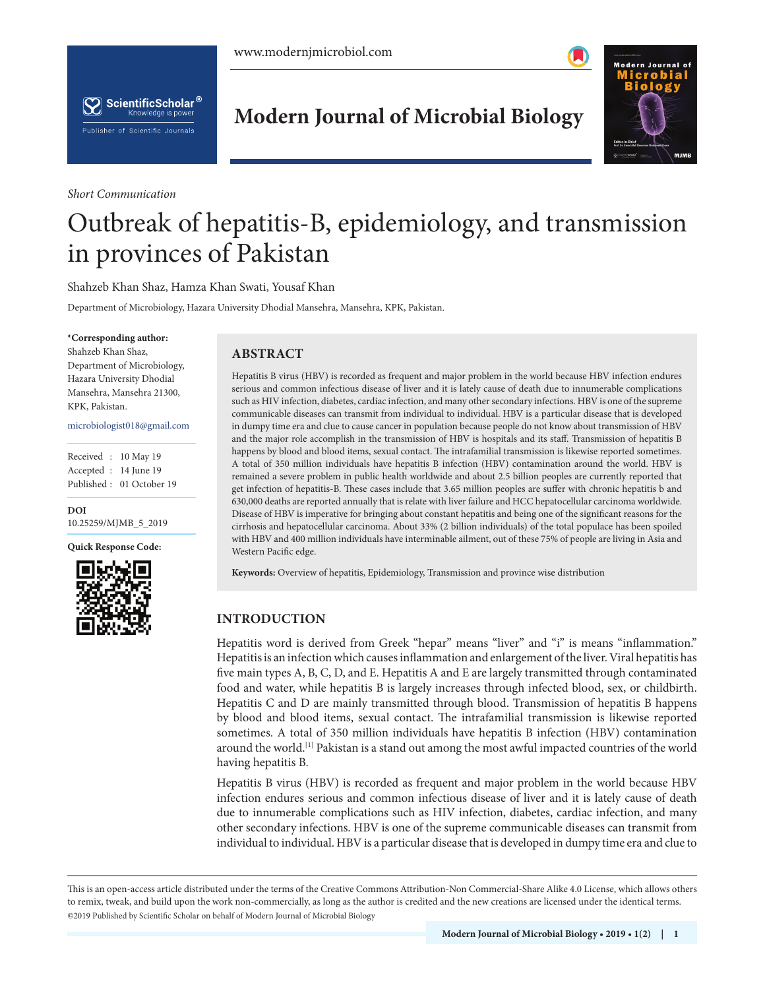



*Short Communication*

# **Modern Journal of Microbial Biology**



# Outbreak of hepatitis-B, epidemiology, and transmission in provinces of Pakistan

Shahzeb Khan Shaz, Hamza Khan Swati, Yousaf Khan

Department of Microbiology, Hazara University Dhodial Mansehra, Mansehra, KPK, Pakistan.

#### **\*Corresponding author:**

Shahzeb Khan Shaz, Department of Microbiology, Hazara University Dhodial Mansehra, Mansehra 21300, KPK, Pakistan.

microbiologist018@gmail.com

| Received : 10 May 19  |                          |
|-----------------------|--------------------------|
| Accepted : 14 June 19 |                          |
|                       | Published: 01 October 19 |

**DOI** 10.25259/MJMB\_5\_2019

**Quick Response Code:**



### **ABSTRACT**

Hepatitis B virus (HBV) is recorded as frequent and major problem in the world because HBV infection endures serious and common infectious disease of liver and it is lately cause of death due to innumerable complications such as HIV infection, diabetes, cardiac infection, and many other secondary infections. HBV is one of the supreme communicable diseases can transmit from individual to individual. HBV is a particular disease that is developed in dumpy time era and clue to cause cancer in population because people do not know about transmission of HBV and the major role accomplish in the transmission of HBV is hospitals and its staff. Transmission of hepatitis B happens by blood and blood items, sexual contact. The intrafamilial transmission is likewise reported sometimes. A total of 350 million individuals have hepatitis B infection (HBV) contamination around the world. HBV is remained a severe problem in public health worldwide and about 2.5 billion peoples are currently reported that get infection of hepatitis-B. These cases include that 3.65 million peoples are suffer with chronic hepatitis b and 630,000 deaths are reported annually that is relate with liver failure and HCC hepatocellular carcinoma worldwide. Disease of HBV is imperative for bringing about constant hepatitis and being one of the significant reasons for the cirrhosis and hepatocellular carcinoma. About 33% (2 billion individuals) of the total populace has been spoiled with HBV and 400 million individuals have interminable ailment, out of these 75% of people are living in Asia and Western Pacific edge.

**Keywords:** Overview of hepatitis, Epidemiology, Transmission and province wise distribution

## **INTRODUCTION**

Hepatitis word is derived from Greek "hepar" means "liver" and "i" is means "inflammation." Hepatitis is an infection which causes inflammation and enlargement of the liver. Viral hepatitis has five main types A, B, C, D, and E. Hepatitis A and E are largely transmitted through contaminated food and water, while hepatitis B is largely increases through infected blood, sex, or childbirth. Hepatitis C and D are mainly transmitted through blood. Transmission of hepatitis B happens by blood and blood items, sexual contact. The intrafamilial transmission is likewise reported sometimes. A total of 350 million individuals have hepatitis B infection (HBV) contamination around the world.[1] Pakistan is a stand out among the most awful impacted countries of the world having hepatitis B.

Hepatitis B virus (HBV) is recorded as frequent and major problem in the world because HBV infection endures serious and common infectious disease of liver and it is lately cause of death due to innumerable complications such as HIV infection, diabetes, cardiac infection, and many other secondary infections. HBV is one of the supreme communicable diseases can transmit from individual to individual. HBV is a particular disease that is developed in dumpy time era and clue to

is is an open-access article distributed under the terms of the Creative Commons Attribution-Non Commercial-Share Alike 4.0 License, which allows others to remix, tweak, and build upon the work non-commercially, as long as the author is credited and the new creations are licensed under the identical terms. ©2019 Published by Scientific Scholar on behalf of Modern Journal of Microbial Biology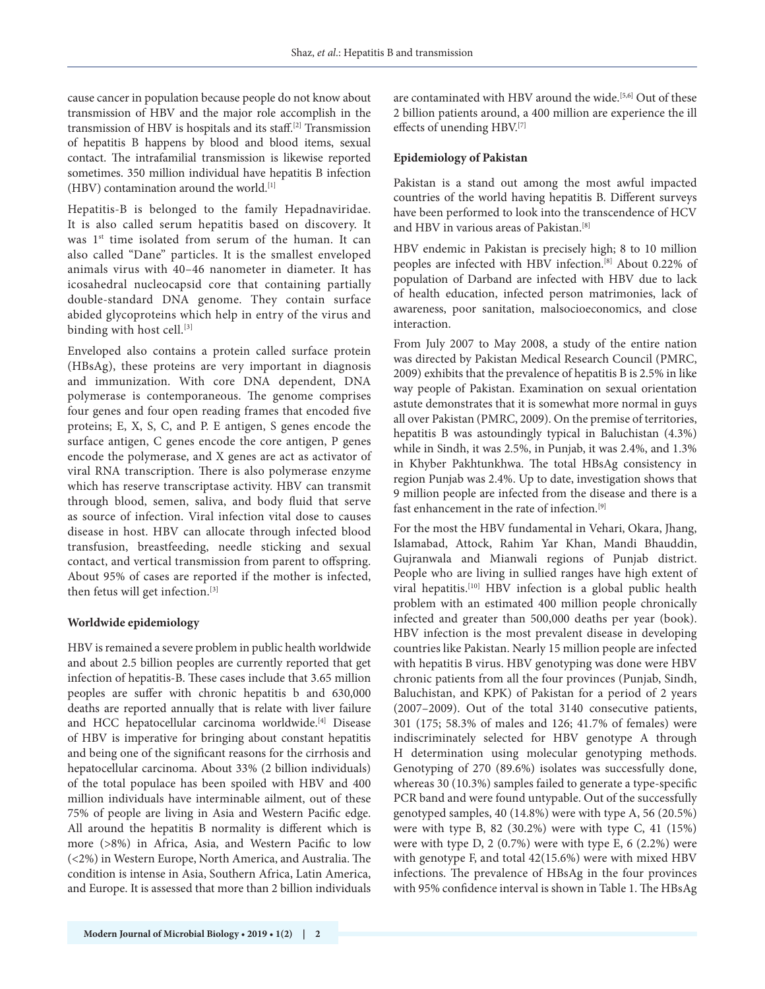cause cancer in population because people do not know about transmission of HBV and the major role accomplish in the transmission of HBV is hospitals and its staff.[2] Transmission of hepatitis B happens by blood and blood items, sexual contact. The intrafamilial transmission is likewise reported sometimes. 350 million individual have hepatitis B infection  $(HBV)$  contamination around the world.<sup>[1]</sup>

Hepatitis-B is belonged to the family Hepadnaviridae. It is also called serum hepatitis based on discovery. It was 1<sup>st</sup> time isolated from serum of the human. It can also called "Dane" particles. It is the smallest enveloped animals virus with 40–46 nanometer in diameter. It has icosahedral nucleocapsid core that containing partially double-standard DNA genome. They contain surface abided glycoproteins which help in entry of the virus and binding with host cell.<sup>[3]</sup>

Enveloped also contains a protein called surface protein (HBsAg), these proteins are very important in diagnosis and immunization. With core DNA dependent, DNA polymerase is contemporaneous. The genome comprises four genes and four open reading frames that encoded five proteins; E, X, S, C, and P. E antigen, S genes encode the surface antigen, C genes encode the core antigen, P genes encode the polymerase, and X genes are act as activator of viral RNA transcription. There is also polymerase enzyme which has reserve transcriptase activity. HBV can transmit through blood, semen, saliva, and body fluid that serve as source of infection. Viral infection vital dose to causes disease in host. HBV can allocate through infected blood transfusion, breastfeeding, needle sticking and sexual contact, and vertical transmission from parent to offspring. About 95% of cases are reported if the mother is infected, then fetus will get infection.[3]

#### **Worldwide epidemiology**

HBV is remained a severe problem in public health worldwide and about 2.5 billion peoples are currently reported that get infection of hepatitis-B. These cases include that 3.65 million peoples are suffer with chronic hepatitis b and 630,000 deaths are reported annually that is relate with liver failure and HCC hepatocellular carcinoma worldwide.[4] Disease of HBV is imperative for bringing about constant hepatitis and being one of the significant reasons for the cirrhosis and hepatocellular carcinoma. About 33% (2 billion individuals) of the total populace has been spoiled with HBV and 400 million individuals have interminable ailment, out of these 75% of people are living in Asia and Western Pacific edge. All around the hepatitis B normality is different which is more (>8%) in Africa, Asia, and Western Pacific to low (<2%) in Western Europe, North America, and Australia. The condition is intense in Asia, Southern Africa, Latin America, and Europe. It is assessed that more than 2 billion individuals are contaminated with HBV around the wide.<sup>[5,6]</sup> Out of these 2 billion patients around, a 400 million are experience the ill effects of unending HBV.[7]

#### **Epidemiology of Pakistan**

Pakistan is a stand out among the most awful impacted countries of the world having hepatitis B. Different surveys have been performed to look into the transcendence of HCV and HBV in various areas of Pakistan.<sup>[8]</sup>

HBV endemic in Pakistan is precisely high; 8 to 10 million peoples are infected with HBV infection.[8] About 0.22% of population of Darband are infected with HBV due to lack of health education, infected person matrimonies, lack of awareness, poor sanitation, malsocioeconomics, and close interaction.

From July 2007 to May 2008, a study of the entire nation was directed by Pakistan Medical Research Council (PMRC, 2009) exhibits that the prevalence of hepatitis B is 2.5% in like way people of Pakistan. Examination on sexual orientation astute demonstrates that it is somewhat more normal in guys all over Pakistan (PMRC, 2009). On the premise of territories, hepatitis B was astoundingly typical in Baluchistan (4.3%) while in Sindh, it was 2.5%, in Punjab, it was 2.4%, and 1.3% in Khyber Pakhtunkhwa. The total HBsAg consistency in region Punjab was 2.4%. Up to date, investigation shows that 9 million people are infected from the disease and there is a fast enhancement in the rate of infection.[9]

For the most the HBV fundamental in Vehari, Okara, Jhang, Islamabad, Attock, Rahim Yar Khan, Mandi Bhauddin, Gujranwala and Mianwali regions of Punjab district. People who are living in sullied ranges have high extent of viral hepatitis.<sup>[10]</sup> HBV infection is a global public health problem with an estimated 400 million people chronically infected and greater than 500,000 deaths per year (book). HBV infection is the most prevalent disease in developing countries like Pakistan. Nearly 15 million people are infected with hepatitis B virus. HBV genotyping was done were HBV chronic patients from all the four provinces (Punjab, Sindh, Baluchistan, and KPK) of Pakistan for a period of 2 years (2007–2009). Out of the total 3140 consecutive patients, 301 (175; 58.3% of males and 126; 41.7% of females) were indiscriminately selected for HBV genotype A through H determination using molecular genotyping methods. Genotyping of 270 (89.6%) isolates was successfully done, whereas 30 (10.3%) samples failed to generate a type-specific PCR band and were found untypable. Out of the successfully genotyped samples, 40 (14.8%) were with type A, 56 (20.5%) were with type B, 82  $(30.2\%)$  were with type C, 41  $(15\%)$ were with type D, 2 (0.7%) were with type E, 6 (2.2%) were with genotype F, and total 42(15.6%) were with mixed HBV infections. The prevalence of HBsAg in the four provinces with 95% confidence interval is shown in Table 1. The HBsAg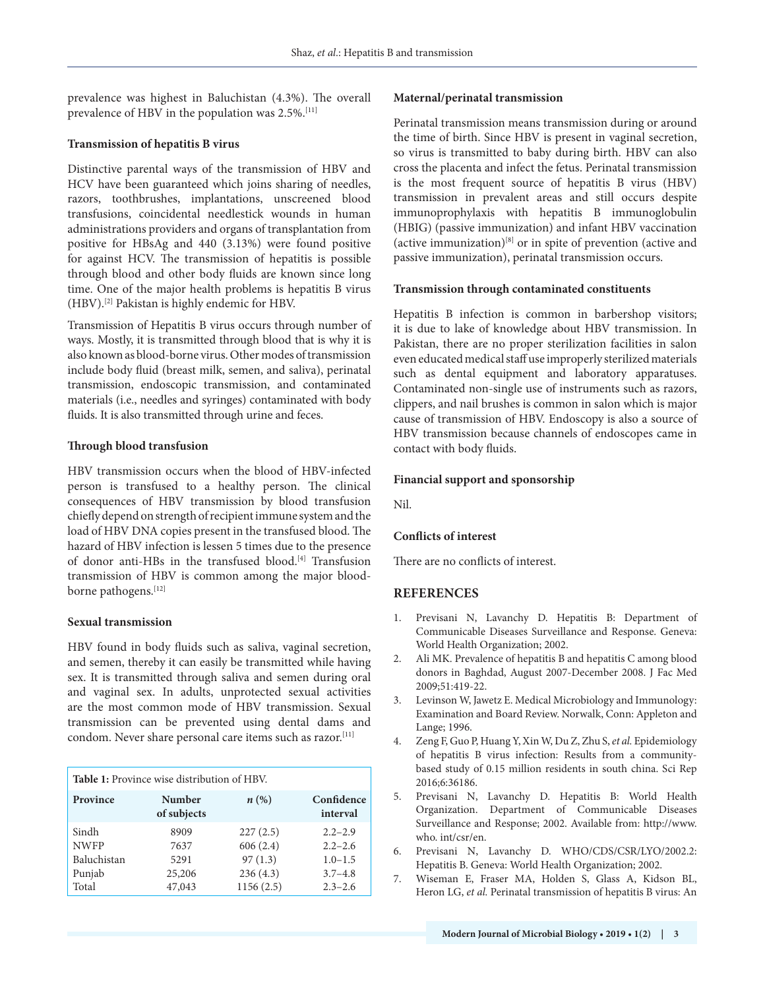prevalence was highest in Baluchistan (4.3%). The overall prevalence of HBV in the population was 2.5%.<sup>[11]</sup>

#### **Transmission of hepatitis B virus**

Distinctive parental ways of the transmission of HBV and HCV have been guaranteed which joins sharing of needles, razors, toothbrushes, implantations, unscreened blood transfusions, coincidental needlestick wounds in human administrations providers and organs of transplantation from positive for HBsAg and 440 (3.13%) were found positive for against HCV. The transmission of hepatitis is possible through blood and other body fluids are known since long time. One of the major health problems is hepatitis B virus (HBV).[2] Pakistan is highly endemic for HBV.

Transmission of Hepatitis B virus occurs through number of ways. Mostly, it is transmitted through blood that is why it is also known as blood-borne virus. Other modes of transmission include body fluid (breast milk, semen, and saliva), perinatal transmission, endoscopic transmission, and contaminated materials (i.e., needles and syringes) contaminated with body fluids. It is also transmitted through urine and feces.

#### **Through blood transfusion**

HBV transmission occurs when the blood of HBV-infected person is transfused to a healthy person. The clinical consequences of HBV transmission by blood transfusion chiefly depend on strength of recipient immune system and the load of HBV DNA copies present in the transfused blood. The hazard of HBV infection is lessen 5 times due to the presence of donor anti-HBs in the transfused blood.<sup>[4]</sup> Transfusion transmission of HBV is common among the major blood‐ borne pathogens.[12]

#### **Sexual transmission**

HBV found in body fluids such as saliva, vaginal secretion, and semen, thereby it can easily be transmitted while having sex. It is transmitted through saliva and semen during oral and vaginal sex. In adults, unprotected sexual activities are the most common mode of HBV transmission. Sexual transmission can be prevented using dental dams and condom. Never share personal care items such as razor.[11]

| <b>Table 1:</b> Province wise distribution of HBV. |                              |                       |                            |
|----------------------------------------------------|------------------------------|-----------------------|----------------------------|
| Province                                           | <b>Number</b><br>of subjects | $n\left(\%\right)$    | Confidence<br>interval     |
| Sindh<br><b>NWFP</b>                               | 8909<br>7637                 | 227(2.5)<br>606(2.4)  | $2.2 - 2.9$<br>$2.2 - 2.6$ |
| Baluchistan                                        | 5291                         | 97(1.3)               | $1.0 - 1.5$                |
| Punjab<br>Total                                    | 25,206<br>47,043             | 236(4.3)<br>1156(2.5) | $3.7 - 4.8$<br>$2.3 - 2.6$ |

#### **Maternal/perinatal transmission**

Perinatal transmission means transmission during or around the time of birth. Since HBV is present in vaginal secretion, so virus is transmitted to baby during birth. HBV can also cross the placenta and infect the fetus. Perinatal transmission is the most frequent source of hepatitis B virus (HBV) transmission in prevalent areas and still occurs despite immunoprophylaxis with hepatitis B immunoglobulin (HBIG) (passive immunization) and infant HBV vaccination (active immunization) $[8]$  or in spite of prevention (active and passive immunization), perinatal transmission occurs.

#### **Transmission through contaminated constituents**

Hepatitis B infection is common in barbershop visitors; it is due to lake of knowledge about HBV transmission. In Pakistan, there are no proper sterilization facilities in salon even educated medical staff use improperly sterilized materials such as dental equipment and laboratory apparatuses. Contaminated non-single use of instruments such as razors, clippers, and nail brushes is common in salon which is major cause of transmission of HBV. Endoscopy is also a source of HBV transmission because channels of endoscopes came in contact with body fluids.

#### **Financial support and sponsorship**

Nil.

#### **Conflicts of interest**

There are no conflicts of interest.

#### **REFERENCES**

- 1. Previsani N, Lavanchy D. Hepatitis B: Department of Communicable Diseases Surveillance and Response. Geneva: World Health Organization; 2002.
- 2. Ali MK. Prevalence of hepatitis B and hepatitis C among blood donors in Baghdad, August 2007-December 2008. J Fac Med 2009;51:419-22.
- 3. Levinson W, Jawetz E. Medical Microbiology and Immunology: Examination and Board Review. Norwalk, Conn: Appleton and Lange; 1996.
- 4. Zeng F, Guo P, Huang Y, Xin W, Du Z, Zhu S, *et al.* Epidemiology of hepatitis B virus infection: Results from a communitybased study of 0.15 million residents in south china. Sci Rep 2016;6:36186.
- 5. Previsani N, Lavanchy D. Hepatitis B: World Health Organization. Department of Communicable Diseases Surveillance and Response; 2002. Available from: http://www. who. int/csr/en.
- 6. Previsani N, Lavanchy D. WHO/CDS/CSR/LYO/2002.2: Hepatitis B. Geneva: World Health Organization; 2002.
- 7. Wiseman E, Fraser MA, Holden S, Glass A, Kidson BL, Heron LG, *et al.* Perinatal transmission of hepatitis B virus: An